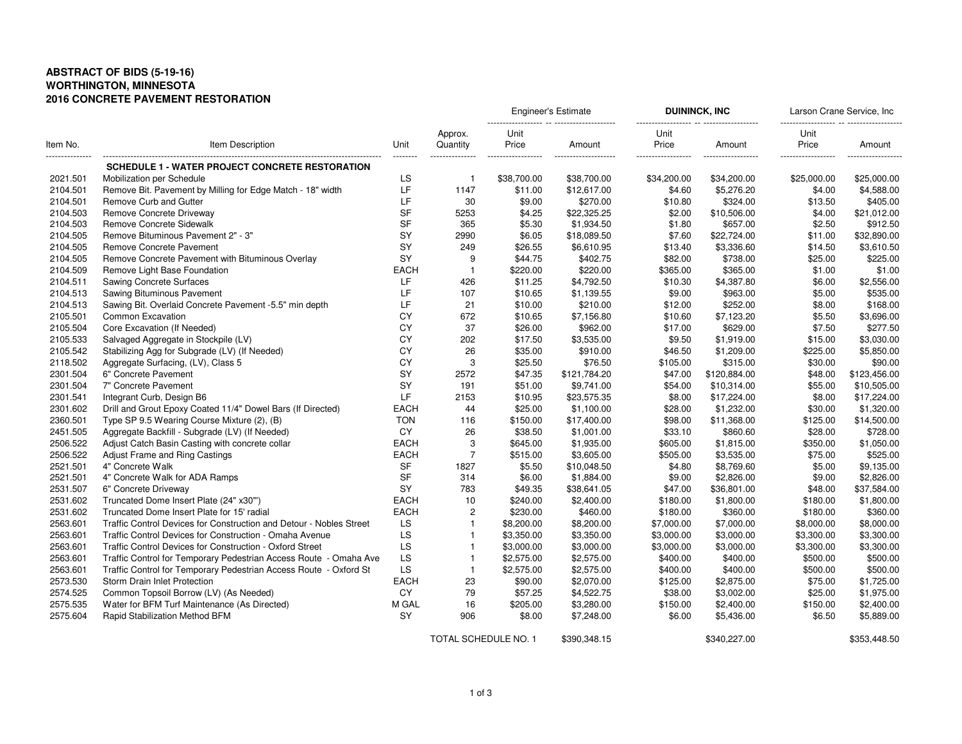## **ABSTRACT OF BIDS (5-19-16) WORTHINGTON, MINNESOTA2016 CONCRETE PAVEMENT RESTORATION**

| Item No.<br> | Item Description                                                    | Unit<br>-------- | Approx.<br>Quantity  | <b>Engineer's Estimate</b>  |                                | <b>DUININCK, INC</b>                |                              | Larson Crane Service, Inc           |                               |
|--------------|---------------------------------------------------------------------|------------------|----------------------|-----------------------------|--------------------------------|-------------------------------------|------------------------------|-------------------------------------|-------------------------------|
|              |                                                                     |                  |                      | Unit<br>Price<br>.<br>----- | Amount<br>-------------------- | Unit<br>Price<br>------------------ | Amount<br>------------------ | Unit<br>Price<br>------------------ | Amount<br>-------<br>-------- |
|              | <b>SCHEDULE 1 - WATER PROJECT CONCRETE RESTORATION</b>              |                  |                      |                             |                                |                                     |                              |                                     |                               |
| 2021.501     | Mobilization per Schedule                                           | LS               | -1                   | \$38,700.00                 | \$38,700.00                    | \$34,200.00                         | \$34,200.00                  | \$25,000.00                         | \$25,000.00                   |
| 2104.501     | Remove Bit. Pavement by Milling for Edge Match - 18" width          | LF               | 1147                 | \$11.00                     | \$12,617.00                    | \$4.60                              | \$5,276.20                   | \$4.00                              | \$4,588.00                    |
| 2104.501     | Remove Curb and Gutter                                              | LF               | 30                   | \$9.00                      | \$270.00                       | \$10.80                             | \$324.00                     | \$13.50                             | \$405.00                      |
| 2104.503     | Remove Concrete Driveway                                            | <b>SF</b>        | 5253                 | \$4.25                      | \$22,325.25                    | \$2.00                              | \$10,506.00                  | \$4.00                              | \$21,012.00                   |
| 2104.503     | Remove Concrete Sidewalk                                            | <b>SF</b>        | 365                  | \$5.30                      | \$1,934.50                     | \$1.80                              | \$657.00                     | \$2.50                              | \$912.50                      |
| 2104.505     | Remove Bituminous Pavement 2" - 3"                                  | SY               | 2990                 | \$6.05                      | \$18,089.50                    | \$7.60                              | \$22,724.00                  | \$11.00                             | \$32,890.00                   |
| 2104.505     | Remove Concrete Pavement                                            | <b>SY</b>        | 249                  | \$26.55                     | \$6,610.95                     | \$13.40                             | \$3,336.60                   | \$14.50                             | \$3,610.50                    |
| 2104.505     | Remove Concrete Pavement with Bituminous Overlay                    | <b>SY</b>        | 9                    | \$44.75                     | \$402.75                       | \$82.00                             | \$738.00                     | \$25.00                             | \$225.00                      |
| 2104.509     | Remove Light Base Foundation                                        | <b>EACH</b>      | $\mathbf{1}$         | \$220.00                    | \$220.00                       | \$365.00                            | \$365.00                     | \$1.00                              | \$1.00                        |
| 2104.511     | <b>Sawing Concrete Surfaces</b>                                     | LF               | 426                  | \$11.25                     | \$4,792.50                     | \$10.30                             | \$4,387.80                   | \$6.00                              | \$2,556.00                    |
| 2104.513     | Sawing Bituminous Pavement                                          | <b>IF</b>        | 107                  | \$10.65                     | \$1,139.55                     | \$9.00                              | \$963.00                     | \$5.00                              | \$535.00                      |
| 2104.513     | Sawing Bit. Overlaid Concrete Pavement -5.5" min depth              | LF               | 21                   | \$10.00                     | \$210.00                       | \$12.00                             | \$252.00                     | \$8.00                              | \$168.00                      |
| 2105.501     | Common Excavation                                                   | CY               | 672                  | \$10.65                     | \$7,156.80                     | \$10.60                             | \$7,123.20                   | \$5.50                              | \$3,696.00                    |
| 2105.504     | Core Excavation (If Needed)                                         | CY               | 37                   | \$26.00                     | \$962.00                       | \$17.00                             | \$629.00                     | \$7.50                              | \$277.50                      |
| 2105.533     | Salvaged Aggregate in Stockpile (LV)                                | CY               | 202                  | \$17.50                     | \$3,535.00                     | \$9.50                              | \$1,919.00                   | \$15.00                             | \$3,030.00                    |
| 2105.542     | Stabilizing Agg for Subgrade (LV) (If Needed)                       | CY               | 26                   | \$35.00                     | \$910.00                       | \$46.50                             | \$1,209.00                   | \$225.00                            | \$5,850.00                    |
| 2118.502     | Aggregate Surfacing, (LV), Class 5                                  | CY               | 3                    | \$25.50                     | \$76.50                        | \$105.00                            | \$315.00                     | \$30.00                             | \$90.00                       |
| 2301.504     | 6" Concrete Pavement                                                | SY               | 2572                 | \$47.35                     | \$121,784.20                   | \$47.00                             | \$120,884.00                 | \$48.00                             | \$123,456.00                  |
| 2301.504     | 7" Concrete Pavement                                                | SY               | 191                  | \$51.00                     | \$9,741.00                     | \$54.00                             | \$10,314.00                  | \$55.00                             | \$10,505.00                   |
| 2301.541     | Integrant Curb, Design B6                                           | LF               | 2153                 | \$10.95                     | \$23,575.35                    | \$8.00                              | \$17,224.00                  | \$8.00                              | \$17,224.00                   |
| 2301.602     | Drill and Grout Epoxy Coated 11/4" Dowel Bars (If Directed)         | <b>EACH</b>      | 44                   | \$25.00                     | \$1,100.00                     | \$28.00                             | \$1,232.00                   | \$30.00                             | \$1,320.00                    |
| 2360.501     | Type SP 9.5 Wearing Course Mixture (2), (B)                         | <b>TON</b>       | 116                  | \$150.00                    | \$17,400.00                    | \$98.00                             | \$11,368.00                  | \$125.00                            | \$14,500.00                   |
| 2451.505     | Aggregate Backfill - Subgrade (LV) (If Needed)                      | <b>CY</b>        | 26                   | \$38.50                     | \$1,001.00                     | \$33.10                             | \$860.60                     | \$28.00                             | \$728.00                      |
| 2506.522     | Adjust Catch Basin Casting with concrete collar                     | <b>EACH</b>      | 3                    | \$645.00                    | \$1,935.00                     | \$605.00                            | \$1,815.00                   | \$350.00                            | \$1,050.00                    |
| 2506.522     | Adjust Frame and Ring Castings                                      | <b>EACH</b>      | $\overline{7}$       | \$515.00                    | \$3,605.00                     | \$505.00                            | \$3,535.00                   | \$75.00                             | \$525.00                      |
| 2521.501     | 4" Concrete Walk                                                    | <b>SF</b>        | 1827                 | \$5.50                      | \$10,048.50                    | \$4.80                              | \$8,769.60                   | \$5.00                              | \$9,135.00                    |
| 2521.501     | 4" Concrete Walk for ADA Ramps                                      | <b>SF</b>        | 314                  | \$6.00                      | \$1,884.00                     | \$9.00                              | \$2,826.00                   | \$9.00                              | \$2,826.00                    |
| 2531.507     | 6" Concrete Driveway                                                | <b>SY</b>        | 783                  | \$49.35                     | \$38,641.05                    | \$47.00                             | \$36,801.00                  | \$48.00                             | \$37,584.00                   |
| 2531.602     | Truncated Dome Insert Plate (24" x30"')                             | <b>EACH</b>      | 10                   | \$240.00                    | \$2,400.00                     | \$180.00                            | \$1,800.00                   | \$180.00                            | \$1,800.00                    |
| 2531.602     | Truncated Dome Insert Plate for 15' radial                          | <b>EACH</b>      | $\overline{2}$       | \$230.00                    | \$460.00                       | \$180.00                            | \$360.00                     | \$180.00                            | \$360.00                      |
| 2563.601     | Traffic Control Devices for Construction and Detour - Nobles Street | LS               | $\mathbf{1}$         | \$8,200.00                  | \$8,200.00                     | \$7,000.00                          | \$7,000.00                   | \$8,000.00                          | \$8,000.00                    |
| 2563.601     | Traffic Control Devices for Construction - Omaha Avenue             | LS               | $\overline{1}$       | \$3,350.00                  | \$3,350.00                     | \$3,000.00                          | \$3,000.00                   | \$3,300.00                          | \$3,300.00                    |
| 2563.601     | Traffic Control Devices for Construction - Oxford Street            | LS               | $\overline{1}$       | \$3,000.00                  | \$3,000.00                     | \$3,000.00                          | \$3,000.00                   | \$3,300.00                          | \$3,300.00                    |
| 2563.601     | Traffic Control for Temporary Pedestrian Access Route - Omaha Ave   | LS               | $\overline{1}$       | \$2,575.00                  | \$2,575.00                     | \$400.00                            | \$400.00                     | \$500.00                            | \$500.00                      |
| 2563.601     | Traffic Control for Temporary Pedestrian Access Route - Oxford St   | LS               | $\overline{1}$       | \$2,575.00                  | \$2,575.00                     | \$400.00                            | \$400.00                     | \$500.00                            | \$500.00                      |
| 2573.530     | Storm Drain Inlet Protection                                        | <b>EACH</b>      | 23                   | \$90.00                     | \$2,070.00                     | \$125.00                            | \$2,875.00                   | \$75.00                             | \$1,725.00                    |
| 2574.525     | Common Topsoil Borrow (LV) (As Needed)                              | CY               | 79                   | \$57.25                     | \$4,522.75                     | \$38.00                             | \$3,002.00                   | \$25.00                             | \$1,975.00                    |
| 2575.535     | Water for BFM Turf Maintenance (As Directed)                        | M GAL            | 16                   | \$205.00                    | \$3,280.00                     | \$150.00                            | \$2,400.00                   | \$150.00                            | \$2,400.00                    |
| 2575.604     | Rapid Stabilization Method BFM                                      | <b>SY</b>        | 906                  | \$8.00                      | \$7,248.00                     | \$6.00                              | \$5,436.00                   | \$6.50                              | \$5,889.00                    |
|              |                                                                     |                  | TOTAL SCHEDULE NO. 1 |                             | \$390,348.15                   |                                     | \$340,227.00                 |                                     | \$353,448.50                  |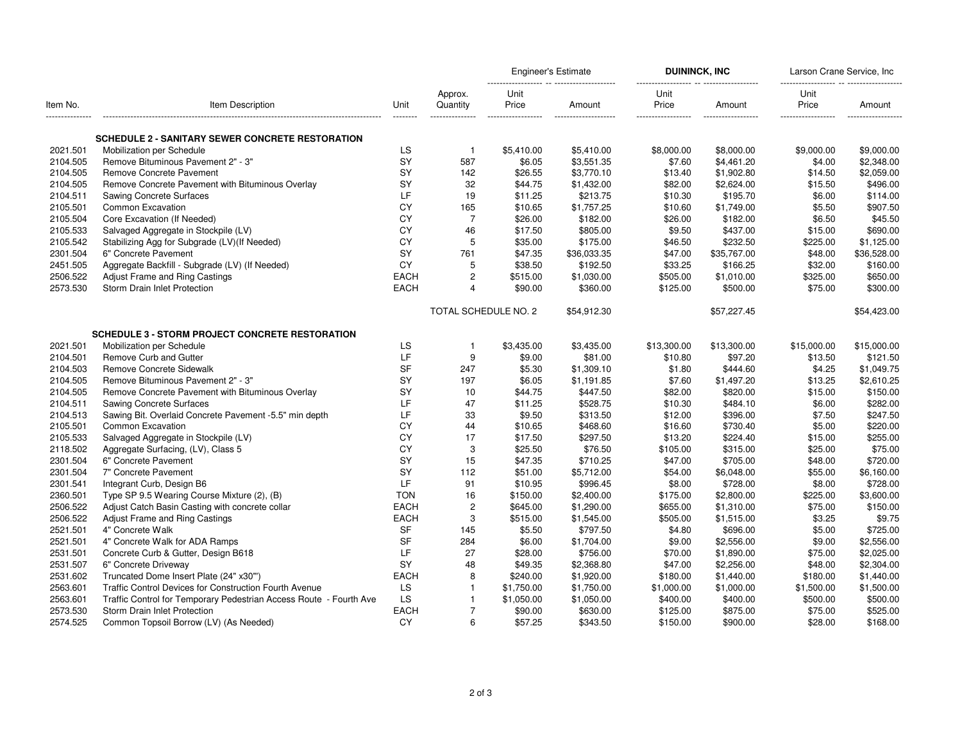| Item No.        | Item Description                                                   | Unit        | Approx.<br>Quantity   | <b>Engineer's Estimate</b> |                      | <b>DUININCK, INC</b> |             | Larson Crane Service, Inc.<br>----------- -- --------- |             |
|-----------------|--------------------------------------------------------------------|-------------|-----------------------|----------------------------|----------------------|----------------------|-------------|--------------------------------------------------------|-------------|
|                 |                                                                    |             |                       | Unit<br>Price              | Amount               | Unit<br>Price        | Amount      | Unit<br>Price                                          | Amount      |
| --------------- |                                                                    | ---------   |                       | -----------                | -------------------- | ------------------   | ----------  | -------------------                                    | $-----1$    |
|                 | <b>SCHEDULE 2 - SANITARY SEWER CONCRETE RESTORATION</b>            |             |                       |                            |                      |                      |             |                                                        |             |
| 2021.501        | Mobilization per Schedule                                          | LS          | $\mathbf{1}$          | \$5,410.00                 | \$5,410.00           | \$8,000.00           | \$8,000.00  | \$9,000.00                                             | \$9,000.00  |
| 2104.505        | Remove Bituminous Pavement 2" - 3"                                 | <b>SY</b>   | 587                   | \$6.05                     | \$3,551.35           | \$7.60               | \$4,461.20  | \$4.00                                                 | \$2,348.00  |
| 2104.505        | <b>Remove Concrete Pavement</b>                                    | SY          | 142                   | \$26.55                    | \$3,770.10           | \$13.40              | \$1,902.80  | \$14.50                                                | \$2,059.00  |
| 2104.505        | Remove Concrete Pavement with Bituminous Overlay                   | SY          | 32                    | \$44.75                    | \$1,432.00           | \$82.00              | \$2,624.00  | \$15.50                                                | \$496.00    |
| 2104.511        | <b>Sawing Concrete Surfaces</b>                                    | LF.         | 19                    | \$11.25                    | \$213.75             | \$10.30              | \$195.70    | \$6.00                                                 | \$114.00    |
| 2105.501        | Common Excavation                                                  | CY          | 165                   | \$10.65                    | \$1,757.25           | \$10.60              | \$1,749.00  | \$5.50                                                 | \$907.50    |
| 2105.504        | Core Excavation (If Needed)                                        | CY          | $\overline{7}$        | \$26.00                    | \$182.00             | \$26.00              | \$182.00    | \$6.50                                                 | \$45.50     |
| 2105.533        | Salvaged Aggregate in Stockpile (LV)                               | CY          | 46                    | \$17.50                    | \$805.00             | \$9.50               | \$437.00    | \$15.00                                                | \$690.00    |
| 2105.542        | Stabilizing Agg for Subgrade (LV)(If Needed)                       | CY          | 5                     | \$35.00                    | \$175.00             | \$46.50              | \$232.50    | \$225.00                                               | \$1.125.00  |
| 2301.504        | 6" Concrete Pavement                                               | <b>SY</b>   | 761                   | \$47.35                    | \$36,033.35          | \$47.00              | \$35,767.00 | \$48.00                                                | \$36,528.00 |
| 2451.505        | Aggregate Backfill - Subgrade (LV) (If Needed)                     | CY          | 5                     | \$38.50                    | \$192.50             | \$33.25              | \$166.25    | \$32.00                                                | \$160.00    |
| 2506.522        | Adjust Frame and Ring Castings                                     | <b>EACH</b> | $\overline{c}$        | \$515.00                   | \$1,030.00           | \$505.00             | \$1,010.00  | \$325.00                                               | \$650.00    |
| 2573.530        | Storm Drain Inlet Protection                                       | <b>EACH</b> | $\boldsymbol{\Delta}$ | \$90.00                    | \$360.00             | \$125.00             | \$500.00    | \$75.00                                                | \$300.00    |
|                 |                                                                    |             |                       |                            |                      |                      |             |                                                        |             |
|                 |                                                                    |             | TOTAL SCHEDULE NO. 2  |                            | \$54,912.30          |                      | \$57,227.45 |                                                        | \$54,423.00 |
|                 | <b>SCHEDULE 3 - STORM PROJECT CONCRETE RESTORATION</b>             |             |                       |                            |                      |                      |             |                                                        |             |
| 2021.501        | Mobilization per Schedule                                          | LS          | 1                     | \$3,435.00                 | \$3,435.00           | \$13,300.00          | \$13,300.00 | \$15,000.00                                            | \$15,000.00 |
| 2104.501        | Remove Curb and Gutter                                             | LF          | 9                     | \$9.00                     | \$81.00              | \$10.80              | \$97.20     | \$13.50                                                | \$121.50    |
| 2104.503        | Remove Concrete Sidewalk                                           | <b>SF</b>   | 247                   | \$5.30                     | \$1,309.10           | \$1.80               | \$444.60    | \$4.25                                                 | \$1,049.75  |
| 2104.505        | Remove Bituminous Pavement 2" - 3"                                 | SY          | 197                   | \$6.05                     | \$1,191.85           | \$7.60               | \$1,497.20  | \$13.25                                                | \$2,610.25  |
| 2104.505        | Remove Concrete Pavement with Bituminous Overlay                   | SY          | 10                    | \$44.75                    | \$447.50             | \$82.00              | \$820.00    | \$15.00                                                | \$150.00    |
| 2104.511        | <b>Sawing Concrete Surfaces</b>                                    | LF          | 47                    | \$11.25                    | \$528.75             | \$10.30              | \$484.10    | \$6.00                                                 | \$282.00    |
| 2104.513        | Sawing Bit. Overlaid Concrete Pavement -5.5" min depth             | LF          | 33                    | \$9.50                     | \$313.50             | \$12.00              | \$396.00    | \$7.50                                                 | \$247.50    |
| 2105.501        | Common Excavation                                                  | CY          | 44                    | \$10.65                    | \$468.60             | \$16.60              | \$730.40    | \$5.00                                                 | \$220.00    |
| 2105.533        | Salvaged Aggregate in Stockpile (LV)                               | CY          | 17                    | \$17.50                    | \$297.50             | \$13.20              | \$224.40    | \$15.00                                                | \$255.00    |
| 2118.502        | Aggregate Surfacing, (LV), Class 5                                 | CY          | 3                     | \$25.50                    | \$76.50              | \$105.00             | \$315.00    | \$25.00                                                | \$75.00     |
| 2301.504        | 6" Concrete Pavement                                               | SY          | 15                    | \$47.35                    | \$710.25             | \$47.00              | \$705.00    | \$48.00                                                | \$720.00    |
| 2301.504        | 7" Concrete Pavement                                               | SY          | 112                   | \$51.00                    | \$5,712.00           | \$54.00              | \$6,048.00  | \$55.00                                                | \$6,160.00  |
| 2301.541        | Integrant Curb, Design B6                                          | LF          | 91                    | \$10.95                    | \$996.45             | \$8.00               | \$728.00    | \$8.00                                                 | \$728.00    |
| 2360.501        | Type SP 9.5 Wearing Course Mixture (2), (B)                        | <b>TON</b>  | 16                    | \$150.00                   | \$2,400.00           | \$175.00             | \$2,800.00  | \$225.00                                               | \$3,600.00  |
| 2506.522        | Adjust Catch Basin Casting with concrete collar                    | <b>EACH</b> | $\overline{2}$        | \$645.00                   | \$1,290.00           | \$655.00             | \$1,310.00  | \$75.00                                                | \$150.00    |
| 2506.522        | Adjust Frame and Ring Castings                                     | <b>EACH</b> | 3                     | \$515.00                   | \$1,545.00           | \$505.00             | \$1,515.00  | \$3.25                                                 | \$9.75      |
| 2521.501        | 4" Concrete Walk                                                   | <b>SF</b>   | 145                   | \$5.50                     | \$797.50             | \$4.80               | \$696.00    | \$5.00                                                 | \$725.00    |
| 2521.501        | 4" Concrete Walk for ADA Ramps                                     | <b>SF</b>   | 284                   | \$6.00                     | \$1,704.00           | \$9.00               | \$2,556.00  | \$9.00                                                 | \$2,556.00  |
| 2531.501        | Concrete Curb & Gutter, Design B618                                | LF          | 27                    | \$28.00                    | \$756.00             | \$70.00              | \$1,890.00  | \$75.00                                                | \$2,025.00  |
| 2531.507        | 6" Concrete Driveway                                               | SY          | 48                    | \$49.35                    | \$2,368.80           | \$47.00              | \$2,256.00  | \$48.00                                                | \$2,304.00  |
| 2531.602        | Truncated Dome Insert Plate (24" x30"')                            | <b>EACH</b> | 8                     | \$240.00                   | \$1,920.00           | \$180.00             | \$1,440.00  | \$180.00                                               | \$1,440.00  |
| 2563.601        | Traffic Control Devices for Construction Fourth Avenue             | LS          | $\mathbf{1}$          | \$1,750.00                 | \$1,750.00           | \$1,000.00           | \$1,000.00  | \$1,500.00                                             | \$1,500.00  |
| 2563.601        | Traffic Control for Temporary Pedestrian Access Route - Fourth Ave | LS          | 1                     | \$1,050.00                 | \$1,050.00           | \$400.00             | \$400.00    | \$500.00                                               | \$500.00    |
| 2573.530        | Storm Drain Inlet Protection                                       | <b>EACH</b> |                       | \$90.00                    | \$630.00             | \$125.00             | \$875.00    | \$75.00                                                | \$525.00    |
| 2574.525        | Common Topsoil Borrow (LV) (As Needed)                             | CY          | 6                     | \$57.25                    | \$343.50             | \$150.00             | \$900.00    | \$28.00                                                | \$168.00    |
|                 |                                                                    |             |                       |                            |                      |                      |             |                                                        |             |